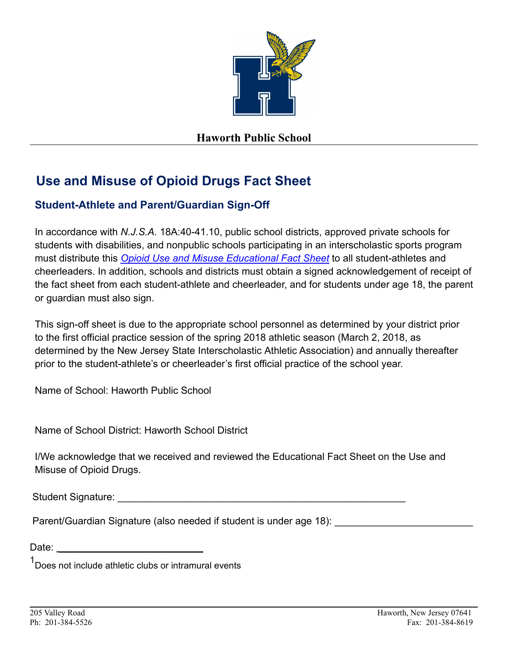

## **Haworth Public School**

## **Use and Misuse of Opioid Drugs Fact Sheet**

## **Student-Athlete and Parent/Guardian Sign-Off**

In accordance with *N.J.S.A.* 18A:40-41.10, public school districts, approved private schools for students with disabilities, and nonpublic schools participating in an interscholastic sports program must distribute this *[Opioid Use and Misuse Educational](http://www.nj.gov/education/students/safety/behavior/atd/opioid/FactSheet.pdf) Fact Sheet* to all student-athletes and cheerleaders. In addition, schools and districts must obtain a signed acknowledgement of receipt of the fact sheet from each student-athlete and cheerleader, and for students under age 18, the parent or guardian must also sign.

This sign-off sheet is due to the appropriate school personnel as determined by your district prior to the first official practice session of the spring 2018 athletic season (March 2, 2018, as determined by the New Jersey State Interscholastic Athletic Association) and annually thereafter prior to the student-athlete's or cheerleader's first official practice of the school year.

Name of School: Haworth Public School

Name of School District: Haworth School District

I/We acknowledge that we received and reviewed the Educational Fact Sheet on the Use and Misuse of Opioid Drugs.

Student Signature:

Parent/Guardian Signature (also needed if student is under age 18):

Date: \_\_\_\_\_\_\_\_\_\_\_\_\_\_\_\_\_\_\_\_\_\_\_\_\_\_

1<br>Does not include athletic clubs or intramural events